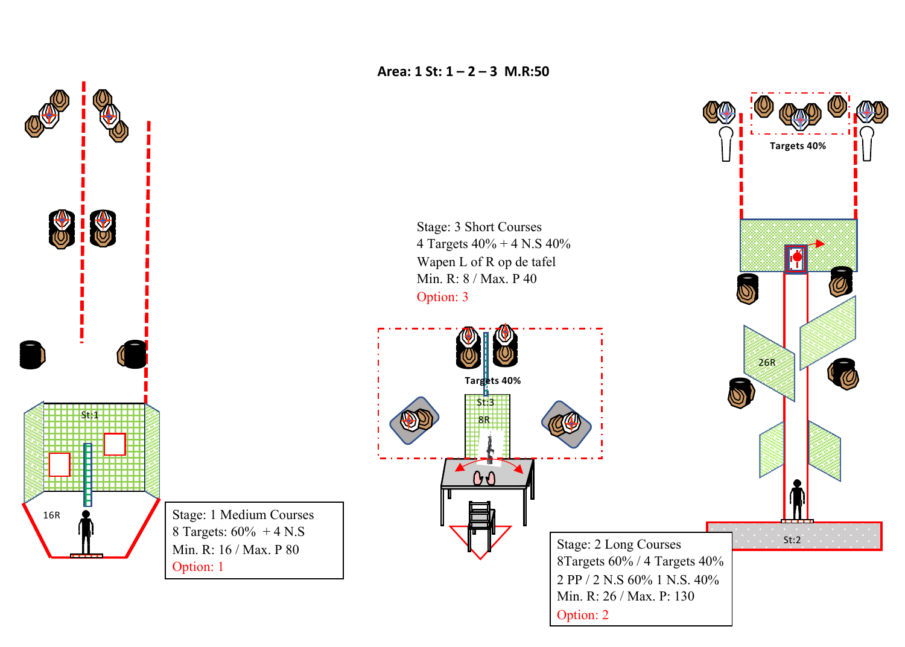**Area: 1 St: 1 – 2 – 3 M.R:50**



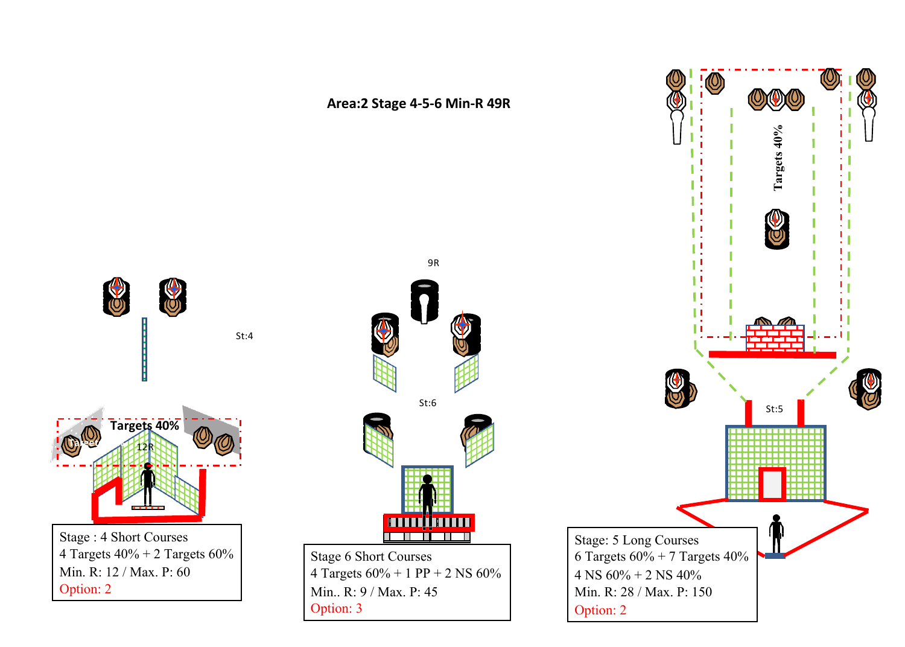

Option: 2

**Targets 40%**

C